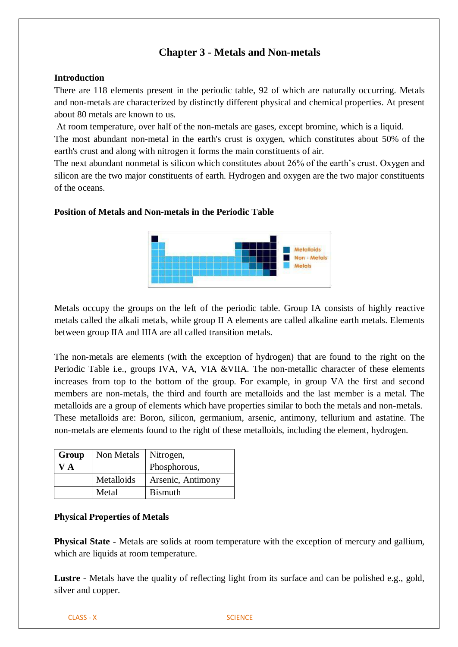# **Chapter 3 - Metals and Non-metals**

## **Introduction**

There are 118 elements present in the periodic table, 92 of which are naturally occurring. Metals and non-metals are characterized by distinctly different physical and chemical properties. At present about 80 metals are known to us.

At room temperature, over half of the non-metals are gases, except bromine, which is a liquid.

The most abundant non-metal in the earth's crust is oxygen, which constitutes about 50% of the earth's crust and along with nitrogen it forms the main constituents of air.

The next abundant nonmetal is silicon which constitutes about 26% of the earth's crust. Oxygen and silicon are the two major constituents of earth. Hydrogen and oxygen are the two major constituents of the oceans.

# Metalloids Non - Metals Metals

Metals occupy the groups on the left of the periodic table. Group IA consists of highly reactive metals called the alkali metals, while group II A elements are called alkaline earth metals. Elements between group IIA and IIIA are all called transition metals.

The non-metals are elements (with the exception of hydrogen) that are found to the right on the Periodic Table i.e., groups IVA, VA, VIA &VIIA. The non-metallic character of these elements increases from top to the bottom of the group. For example, in group VA the first and second members are non-metals, the third and fourth are metalloids and the last member is a metal. The metalloids are a group of elements which have properties similar to both the metals and non-metals. These metalloids are: Boron, silicon, germanium, arsenic, antimony, tellurium and astatine. The non-metals are elements found to the right of these metalloids, including the element, hydrogen.

| Group        | Non Metals | Nitrogen,         |
|--------------|------------|-------------------|
| $\mathbf{A}$ |            | Phosphorous,      |
|              | Metalloids | Arsenic, Antimony |
|              | Metal      | <b>B</b> ismuth   |

**Position of Metals and Non-metals in the Periodic Table**

## **Physical Properties of Metals**

**Physical State -** Metals are solids at room temperature with the exception of mercury and gallium, which are liquids at room temperature.

**Lustre** - Metals have the quality of reflecting light from its surface and can be polished e.g., gold, silver and copper.

CLASS - X SCIENCE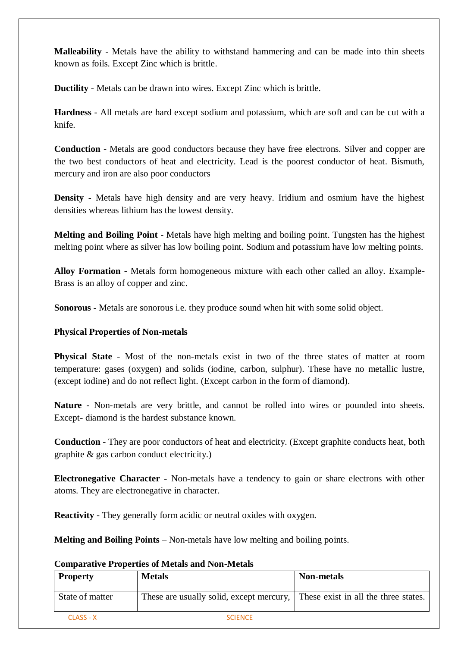**Malleability** - Metals have the ability to withstand hammering and can be made into thin sheets known as foils. Except Zinc which is brittle.

**Ductility** - Metals can be drawn into wires. Except Zinc which is brittle.

**Hardness** - All metals are hard except sodium and potassium, which are soft and can be cut with a knife.

**Conduction** - Metals are good conductors because they have free electrons. Silver and copper are the two best conductors of heat and electricity. Lead is the poorest conductor of heat. Bismuth, mercury and iron are also poor conductors

**Density -** Metals have high density and are very heavy. Iridium and osmium have the highest densities whereas lithium has the lowest density.

**Melting and Boiling Point** - Metals have high melting and boiling point. Tungsten has the highest melting point where as silver has low boiling point. Sodium and potassium have low melting points.

**Alloy Formation -** Metals form homogeneous mixture with each other called an alloy. Example-Brass is an alloy of copper and zinc.

**Sonorous -** Metals are sonorous i.e. they produce sound when hit with some solid object.

## **Physical Properties of Non-metals**

**Physical State** - Most of the non-metals exist in two of the three states of matter at room temperature: gases (oxygen) and solids (iodine, carbon, sulphur). These have no metallic lustre, (except iodine) and do not reflect light. (Except carbon in the form of diamond).

**Nature -** Non-metals are very brittle, and cannot be rolled into wires or pounded into sheets. Except- diamond is the hardest substance known.

**Conduction** - They are poor conductors of heat and electricity. (Except graphite conducts heat, both graphite & gas carbon conduct electricity.)

**Electronegative Character -** Non-metals have a tendency to gain or share electrons with other atoms. They are electronegative in character.

**Reactivity -** They generally form acidic or neutral oxides with oxygen.

**Melting and Boiling Points** – Non-metals have low melting and boiling points.

## **Comparative Properties of Metals and Non-Metals**

| <b>Property</b> | <b>Metals</b>                                                                 | <b>Non-metals</b> |
|-----------------|-------------------------------------------------------------------------------|-------------------|
| State of matter | These are usually solid, except mercury, These exist in all the three states. |                   |
| CLASS - X       | <b>SCIENCE</b>                                                                |                   |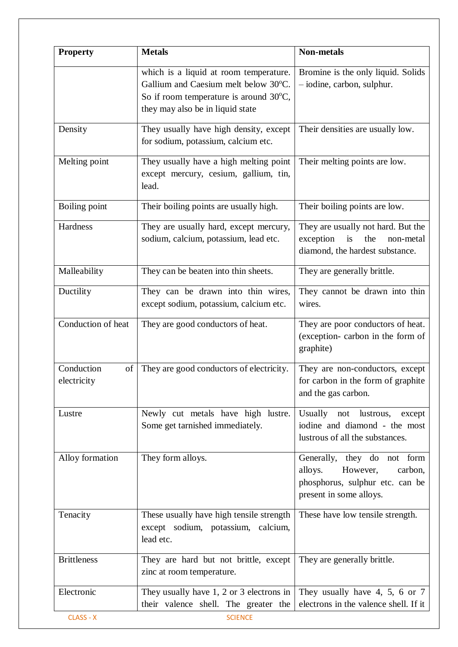| <b>Property</b>                 | <b>Metals</b>                                                                                                                                                | <b>Non-metals</b>                                                                                                           |
|---------------------------------|--------------------------------------------------------------------------------------------------------------------------------------------------------------|-----------------------------------------------------------------------------------------------------------------------------|
|                                 | which is a liquid at room temperature.<br>Gallium and Caesium melt below 30°C.<br>So if room temperature is around 30°C,<br>they may also be in liquid state | Bromine is the only liquid. Solids<br>- iodine, carbon, sulphur.                                                            |
| Density                         | They usually have high density, except<br>for sodium, potassium, calcium etc.                                                                                | Their densities are usually low.                                                                                            |
| Melting point                   | They usually have a high melting point<br>except mercury, cesium, gallium, tin,<br>lead.                                                                     | Their melting points are low.                                                                                               |
| Boiling point                   | Their boiling points are usually high.                                                                                                                       | Their boiling points are low.                                                                                               |
| Hardness                        | They are usually hard, except mercury,<br>sodium, calcium, potassium, lead etc.                                                                              | They are usually not hard. But the<br>exception<br>is<br>the<br>non-metal<br>diamond, the hardest substance.                |
| Malleability                    | They can be beaten into thin sheets.                                                                                                                         | They are generally brittle.                                                                                                 |
| Ductility                       | They can be drawn into thin wires,<br>except sodium, potassium, calcium etc.                                                                                 | They cannot be drawn into thin<br>wires.                                                                                    |
| Conduction of heat              | They are good conductors of heat.                                                                                                                            | They are poor conductors of heat.<br>(exception-carbon in the form of<br>graphite)                                          |
| Conduction<br>of<br>electricity | They are good conductors of electricity.                                                                                                                     | They are non-conductors, except<br>for carbon in the form of graphite<br>and the gas carbon.                                |
| Lustre                          | Newly cut metals have high lustre.<br>Some get tarnished immediately.                                                                                        | Usually not<br>lustrous,<br>except<br>iodine and diamond - the most<br>lustrous of all the substances.                      |
| Alloy formation                 | They form alloys.                                                                                                                                            | Generally, they do not form<br>However,<br>alloys.<br>carbon,<br>phosphorus, sulphur etc. can be<br>present in some alloys. |
| Tenacity                        | These usually have high tensile strength<br>except sodium, potassium, calcium,<br>lead etc.                                                                  | These have low tensile strength.                                                                                            |
| <b>Brittleness</b>              | They are hard but not brittle, except<br>zinc at room temperature.                                                                                           | They are generally brittle.                                                                                                 |
| Electronic<br>CLASS - X         | They usually have $1, 2$ or $3$ electrons in<br>their valence shell. The greater the<br><b>SCIENCE</b>                                                       | They usually have 4, 5, 6 or 7<br>electrons in the valence shell. If it                                                     |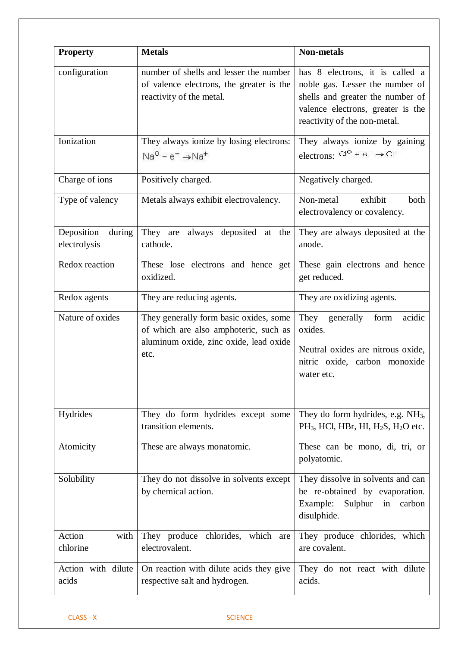| <b>Property</b>                      | <b>Metals</b>                                                                                                                     | <b>Non-metals</b>                                                                                                                                                           |
|--------------------------------------|-----------------------------------------------------------------------------------------------------------------------------------|-----------------------------------------------------------------------------------------------------------------------------------------------------------------------------|
| configuration                        | number of shells and lesser the number<br>of valence electrons, the greater is the<br>reactivity of the metal.                    | has 8 electrons, it is called a<br>noble gas. Lesser the number of<br>shells and greater the number of<br>valence electrons, greater is the<br>reactivity of the non-metal. |
| Ionization                           | They always ionize by losing electrons:<br>$Na^{O} - e^{-} \rightarrow Na^{+}$                                                    | They always ionize by gaining<br>electrons: $Cl^{\circ}$ + e <sup>-</sup> $\rightarrow$ $Cl^{\circ}$                                                                        |
| Charge of ions                       | Positively charged.                                                                                                               | Negatively charged.                                                                                                                                                         |
| Type of valency                      | Metals always exhibit electrovalency.                                                                                             | exhibit<br>Non-metal<br>both<br>electrovalency or covalency.                                                                                                                |
| Deposition<br>during<br>electrolysis | They are always deposited at the<br>cathode.                                                                                      | They are always deposited at the<br>anode.                                                                                                                                  |
| Redox reaction                       | These lose electrons and hence get<br>oxidized.                                                                                   | These gain electrons and hence<br>get reduced.                                                                                                                              |
| Redox agents                         | They are reducing agents.                                                                                                         | They are oxidizing agents.                                                                                                                                                  |
| Nature of oxides                     | They generally form basic oxides, some<br>of which are also amphoteric, such as<br>aluminum oxide, zinc oxide, lead oxide<br>etc. | They<br>acidic<br>generally<br>form<br>oxides.<br>Neutral oxides are nitrous oxide,<br>nitric oxide, carbon monoxide<br>water etc.                                          |
| Hydrides                             | They do form hydrides except some<br>transition elements.                                                                         | They do form hydrides, e.g. NH <sub>3</sub> ,<br>$PH_3$ , HCl, HBr, HI, $H_2S$ , $H_2O$ etc.                                                                                |
| Atomicity                            | These are always monatomic.                                                                                                       | These can be mono, di, tri, or<br>polyatomic.                                                                                                                               |
| Solubility                           | They do not dissolve in solvents except<br>by chemical action.                                                                    | They dissolve in solvents and can<br>be re-obtained by evaporation.<br>Example:<br>Sulphur in<br>carbon<br>disulphide.                                                      |
| Action<br>with<br>chlorine           | They produce chlorides, which are<br>electrovalent.                                                                               | They produce chlorides, which<br>are covalent.                                                                                                                              |
| Action with dilute<br>acids          | On reaction with dilute acids they give<br>respective salt and hydrogen.                                                          | They do not react with dilute<br>acids.                                                                                                                                     |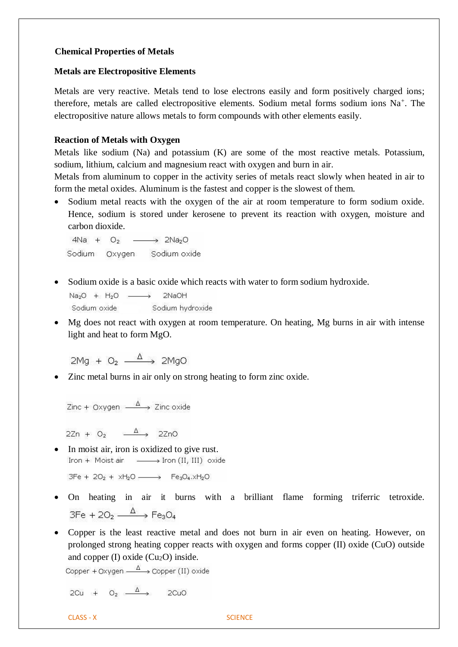## **Chemical Properties of Metals**

#### **Metals are Electropositive Elements**

Metals are very reactive. Metals tend to lose electrons easily and form positively charged ions; therefore, metals are called electropositive elements. Sodium metal forms sodium ions Na<sup>+</sup>. The electropositive nature allows metals to form compounds with other elements easily.

## **Reaction of Metals with Oxygen**

Metals like sodium (Na) and potassium (K) are some of the most reactive metals. Potassium, sodium, lithium, calcium and magnesium react with oxygen and burn in air.

Metals from aluminum to copper in the activity series of metals react slowly when heated in air to form the metal oxides. Aluminum is the fastest and copper is the slowest of them.

• Sodium metal reacts with the oxygen of the air at room temperature to form sodium oxide. Hence, sodium is stored under kerosene to prevent its reaction with oxygen, moisture and carbon dioxide.

 $4Na + O<sub>2</sub> \rightarrow$  2Na<sub>2</sub>O Sodium Oxygen Sodium oxide

• Sodium oxide is a basic oxide which reacts with water to form sodium hydroxide.

 $Na<sub>2</sub>O + H<sub>2</sub>O$   $\longrightarrow$ 2NaOH Sodium oxide Sodium hydroxide

• Mg does not react with oxygen at room temperature. On heating, Mg burns in air with intense light and heat to form MgO.

 $2Mg + O_2 \xrightarrow{\Delta} 2MgO$ 

• Zinc metal burns in air only on strong heating to form zinc oxide.

Zinc + Oxygen  $\stackrel{\Delta}{\longrightarrow}$  Zinc oxide

 $2Zn + O_2 \xrightarrow{\Delta} 2ZnO$ 

• In moist air, iron is oxidized to give rust. Iron + Moist air - > Iron (II, III) oxide

 $3Fe + 2O<sub>2</sub> + xH<sub>2</sub>O$   $\longrightarrow$   $Fe<sub>3</sub>O<sub>4</sub>.xH<sub>2</sub>O$ 

- On heating in air it burns with a brilliant flame forming triferric tetroxide.  $3Fe + 2O_2 \xrightarrow{\Delta} Fe_3O_4$
- Copper is the least reactive metal and does not burn in air even on heating. However, on prolonged strong heating copper reacts with oxygen and forms copper (II) oxide (CuO) outside and copper  $(I)$  oxide  $(Cu<sub>2</sub>O)$  inside.

Copper + Oxygen  $\xrightarrow{\Delta}$  Copper (II) oxide

2Cu +  $Q_2 \xrightarrow{\Delta}$  2CuO

CLASS - X SCIENCE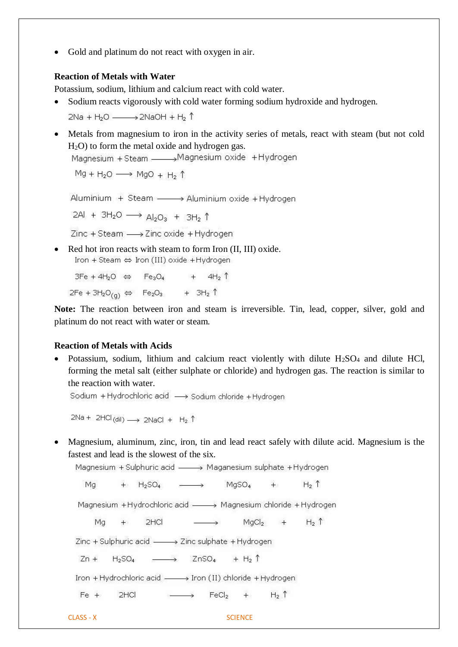• Gold and platinum do not react with oxygen in air.

#### **Reaction of Metals with Water**

Potassium, sodium, lithium and calcium react with cold water.

• Sodium reacts vigorously with cold water forming sodium hydroxide and hydrogen.

 $2Na + H<sub>2</sub>O$   $\longrightarrow$   $2NaOH + H<sub>2</sub>$   $\uparrow$ 

• Metals from magnesium to iron in the activity series of metals, react with steam (but not cold H2O) to form the metal oxide and hydrogen gas.

Magnesium + Steam \_\_\_\_\_\_ Magnesium oxide + Hydrogen

 $Mg + H_2O \longrightarrow MgO + H_2 \uparrow$ 

Aluminium + Steam - > Aluminium oxide + Hydrogen

2Al + 3H<sub>2</sub>O  $\longrightarrow$  Al<sub>2</sub>O<sub>3</sub> + 3H<sub>2</sub> 1

Zinc + Steam - > Zinc oxide + Hydrogen

• Red hot iron reacts with steam to form Iron (II, III) oxide. Iron + Steam ⇔ Iron (III) oxide + Hydrogen

 $3Fe + 4H<sub>2</sub>O \Leftrightarrow Fe<sub>3</sub>O<sub>4</sub> + 4H<sub>2</sub>$  $2Fe + 3H_2O_{(g)} \Leftrightarrow Fe_2O_3 + 3H_2 \uparrow$ 

**Note:** The reaction between iron and steam is irreversible. Tin, lead, copper, silver, gold and platinum do not react with water or steam.

#### **Reaction of Metals with Acids**

• Potassium, sodium, lithium and calcium react violently with dilute  $H_2SO_4$  and dilute HCl, forming the metal salt (either sulphate or chloride) and hydrogen gas. The reaction is similar to the reaction with water.

Sodium + Hydrochloric acid -> Sodium chloride + Hydrogen

 $2Na + 2HCl$ (dil)  $\longrightarrow 2NaCl + H_2$   $\uparrow$ 

• Magnesium, aluminum, zinc, iron, tin and lead react safely with dilute acid. Magnesium is the fastest and lead is the slowest of the six.

Magnesium + Sulphuric acid - > Maganesium sulphate + Hydrogen

 $+$  H<sub>2</sub>SO<sub>4</sub>  $\longrightarrow$  MgSO<sub>4</sub> + H<sub>2</sub> 1 Mq

Magnesium +Hydrochloric acid - > Magnesium chloride +Hydrogen

+ 2HCl  $\longrightarrow$  MgCl<sub>2</sub> + H<sub>2</sub> 1 Ma

Zinc + Sulphuric acid - > Zinc sulphate + Hydrogen

 $Zn + H_2SO_4$   $\longrightarrow$   $ZnSO_4 + H_2 \uparrow$ 

Iron + Hydrochloric acid - > Iron (II) chloride + Hydrogen

 $Fe +$  2HCl  $\longrightarrow$  FeCl<sub>2</sub> + H<sub>2</sub> 1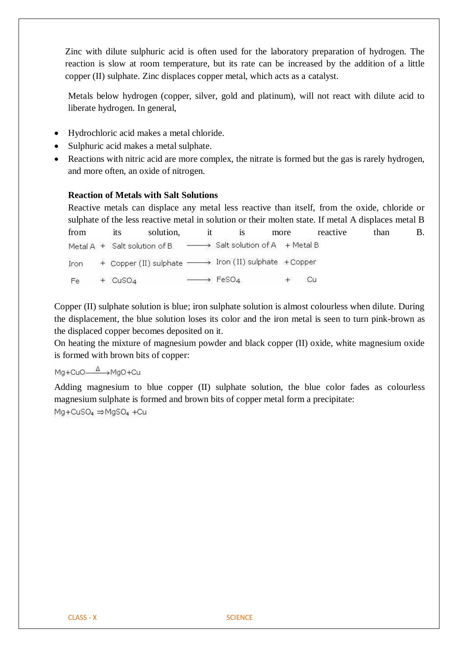Zinc with dilute sulphuric acid is often used for the laboratory preparation of hydrogen. The reaction is slow at room temperature, but its rate can be increased by the addition of a little copper (II) sulphate. Zinc displaces copper metal, which acts as a catalyst.

Metals below hydrogen (copper, silver, gold and platinum), will not react with dilute acid to liberate hydrogen. In general,

- Hydrochloric acid makes a metal chloride.
- Sulphuric acid makes a metal sulphate.
- Reactions with nitric acid are more complex, the nitrate is formed but the gas is rarely hydrogen, and more often, an oxide of nitrogen.

## **Reaction of Metals with Salt Solutions**

Reactive metals can displace any metal less reactive than itself, from the oxide, chloride or sulphate of the less reactive metal in solution or their molten state. If metal A displaces metal B from its solution, it is more reactive than B. Salt solution of A + Metal B Metal A + Salt solution of B + Copper (II) sulphate -> Iron (II) sulphate +Copper Iron  $\rightarrow$  FeSO<sub>4</sub> Cu Fe  $+$  CuSO<sub>4</sub>  $+$ 

Copper (II) sulphate solution is blue; iron sulphate solution is almost colourless when dilute. During the displacement, the blue solution loses its color and the iron metal is seen to turn pink-brown as the displaced copper becomes deposited on it.

On heating the mixture of magnesium powder and black copper (II) oxide, white magnesium oxide is formed with brown bits of copper:

# Mg+CuO<sup>A</sup> >MgO+Cu

Adding magnesium to blue copper (II) sulphate solution, the blue color fades as colourless magnesium sulphate is formed and brown bits of copper metal form a precipitate:  $Mg + CuSO<sub>4</sub> \Rightarrow MgSO<sub>4</sub> + Cu$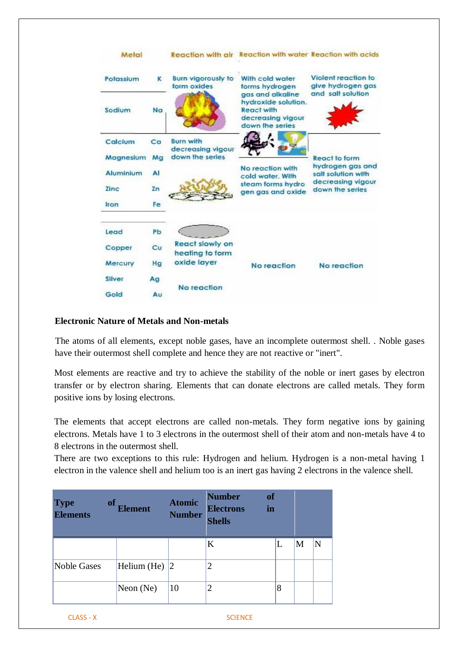

## **Electronic Nature of Metals and Non-metals**

The atoms of all elements, except noble gases, have an incomplete outermost shell. . Noble gases have their outermost shell complete and hence they are not reactive or "inert".

Most elements are reactive and try to achieve the stability of the noble or inert gases by electron transfer or by electron sharing. Elements that can donate electrons are called metals. They form positive ions by losing electrons.

The elements that accept electrons are called non-metals. They form negative ions by gaining electrons. Metals have 1 to 3 electrons in the outermost shell of their atom and non-metals have 4 to 8 electrons in the outermost shell.

There are two exceptions to this rule: Hydrogen and helium. Hydrogen is a non-metal having 1 electron in the valence shell and helium too is an inert gas having 2 electrons in the valence shell.

| <b>Type</b><br><b>Elements</b> | <b>of</b><br><b>Element</b> | <b>Atomic</b><br><b>Number</b> | <b>Number</b><br><b>Electrons</b><br><b>Shells</b> | <b>of</b><br>in |   |   |   |
|--------------------------------|-----------------------------|--------------------------------|----------------------------------------------------|-----------------|---|---|---|
|                                |                             |                                | K                                                  |                 |   | M | N |
| Noble Gases                    | Helium (He)                 | 12                             | $\overline{2}$                                     |                 |   |   |   |
|                                | Neon $(Ne)$                 | 10                             | $\overline{2}$                                     |                 | 8 |   |   |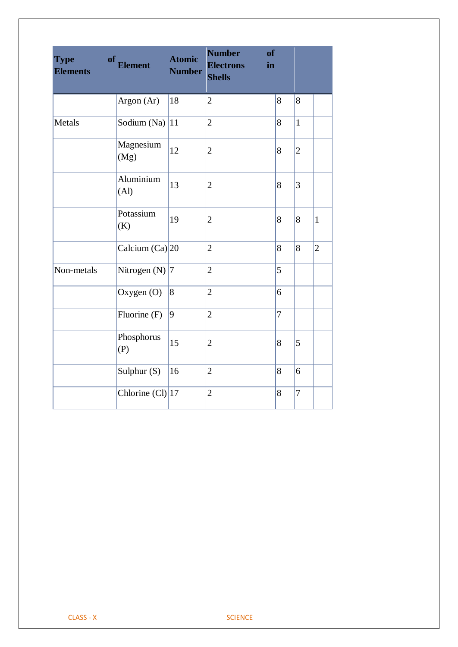| <b>Type</b><br><b>Elements</b> | of<br><b>Element</b> | <b>Atomic</b><br><b>Number</b> | <b>Number</b><br>of<br><b>Electrons</b><br>in<br><b>Shells</b> |                |                |                |
|--------------------------------|----------------------|--------------------------------|----------------------------------------------------------------|----------------|----------------|----------------|
|                                | Argon (Ar)           | 18                             | $\overline{2}$                                                 | 8              | 8              |                |
| Metals                         | Sodium (Na)          | 11                             | $\overline{2}$                                                 | 8              | $\overline{1}$ |                |
|                                | Magnesium<br>(Mg)    | 12                             | $\mathbf{2}$                                                   | 8              | $\overline{c}$ |                |
|                                | Aluminium<br>(Al)    | 13                             | $\mathbf{2}$                                                   | 8              | 3              |                |
|                                | Potassium<br>(K)     | 19                             | $\mathbf{2}$                                                   | 8              | 8              | $\mathbf{1}$   |
|                                | Calcium $(Ca)$ 20    |                                | $\overline{2}$                                                 | 8              | 8              | $\overline{2}$ |
| Non-metals                     | Nitrogen (N) $ 7$    |                                | $\overline{2}$                                                 | 5              |                |                |
|                                | Oxygen (O)           | $\vert 8$                      | $\overline{2}$                                                 | 6              |                |                |
|                                | Fluorine (F)         | $\vert 9 \vert$                | $\overline{2}$                                                 | $\overline{7}$ |                |                |
|                                | Phosphorus<br>(P)    | 15                             | $\mathbf{2}$                                                   | 8              | 5              |                |
|                                | Sulphur (S)          | 16                             | $\overline{c}$                                                 | 8              | 6              |                |
|                                | Chlorine $(Cl)$ 17   |                                | $\overline{c}$                                                 | 8              | $\overline{7}$ |                |
|                                |                      |                                |                                                                |                |                |                |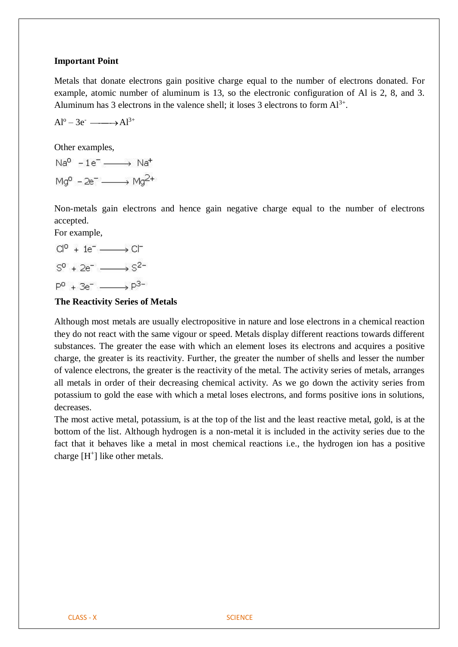#### **Important Point**

Metals that donate electrons gain positive charge equal to the number of electrons donated. For example, atomic number of aluminum is 13, so the electronic configuration of Al is 2, 8, and 3. Aluminum has 3 electrons in the valence shell; it loses 3 electrons to form  $Al^{3+}$ .

$$
Al^o-3e^- \xrightarrow{\qquad} Al^{3+}
$$

Other examples,

 $Na^{0} - 1e^{-} \longrightarrow Na^{+}$  $Ma^{0} - 2e^{-} \longrightarrow Ma^{2+}$ 

Non-metals gain electrons and hence gain negative charge equal to the number of electrons accepted.

For example,

$$
Cl0 + 1e- \longrightarrow Cl-
$$

$$
S0 + 2e- \longrightarrow S2-
$$

$$
P0 + 3e- \longrightarrow P3-
$$

## **The Reactivity Series of Metals**

Although most metals are usually electropositive in nature and lose electrons in a chemical reaction they do not react with the same vigour or speed. Metals display different reactions towards different substances. The greater the ease with which an element loses its electrons and acquires a positive charge, the greater is its reactivity. Further, the greater the number of shells and lesser the number of valence electrons, the greater is the reactivity of the metal. The activity series of metals, arranges all metals in order of their decreasing chemical activity. As we go down the activity series from potassium to gold the ease with which a metal loses electrons, and forms positive ions in solutions, decreases.

The most active metal, potassium, is at the top of the list and the least reactive metal, gold, is at the bottom of the list. Although hydrogen is a non-metal it is included in the activity series due to the fact that it behaves like a metal in most chemical reactions i.e., the hydrogen ion has a positive charge  $[H^+]$  like other metals.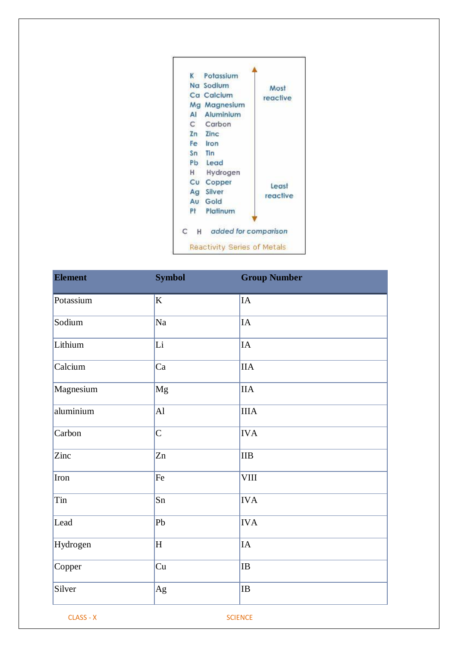

| <b>Element</b> | <b>Symbol</b>  | <b>Group Number</b> |
|----------------|----------------|---------------------|
| Potassium      | K              | ${\rm IA}$          |
| Sodium         | Na             | IA                  |
| Lithium        | Li             | IA                  |
| Calcium        | Ca             | IIA                 |
| Magnesium      | Mg             | <b>IIA</b>          |
| aluminium      | AI             | $\rm IIIA$          |
| Carbon         | $\overline{C}$ | <b>IVA</b>          |
| Zinc           | Zn             | $\rm IIB$           |
| Iron           | Fe             | <b>VIII</b>         |
| Tin            | Sn             | <b>IVA</b>          |
| Lead           | Pb             | <b>IVA</b>          |
| Hydrogen       | H              | $\rm IA$            |
| Copper         | Cu             | $\rm IB$            |
| Silver         | Ag             | $\rm IB$            |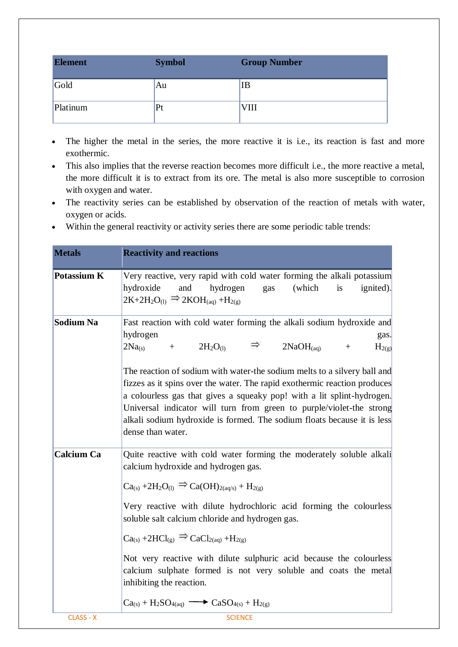| <b>Element</b> | <b>Symbol</b> | <b>Group Number</b> |
|----------------|---------------|---------------------|
| Gold           | Au            | IB                  |
| Platinum       | Pt            | VIII                |

- The higher the metal in the series, the more reactive it is i.e., its reaction is fast and more exothermic.
- This also implies that the reverse reaction becomes more difficult i.e., the more reactive a metal, the more difficult it is to extract from its ore. The metal is also more susceptible to corrosion with oxygen and water.
- The reactivity series can be established by observation of the reaction of metals with water, oxygen or acids.
- Within the general reactivity or activity series there are some periodic table trends:

| <b>Metals</b>      | <b>Reactivity and reactions</b>                                                                                                                                                                                                                                                                                                                                                                                                                                                                                                                                                                      |
|--------------------|------------------------------------------------------------------------------------------------------------------------------------------------------------------------------------------------------------------------------------------------------------------------------------------------------------------------------------------------------------------------------------------------------------------------------------------------------------------------------------------------------------------------------------------------------------------------------------------------------|
| <b>Potassium K</b> | Very reactive, very rapid with cold water forming the alkali potassium<br>(which<br>hydroxide<br>and<br>hydrogen<br>is<br>ignited).<br>gas<br>$2K+2H_2O_{(1)} \Rightarrow 2KOH_{(aq)} + H_{2(g)}$                                                                                                                                                                                                                                                                                                                                                                                                    |
| Sodium Na          | Fast reaction with cold water forming the alkali sodium hydroxide and<br>hydrogen<br>gas.<br>$\Rightarrow$ 2NaOH <sub>(aq)</sub> +<br>$+ 2H_2O_{(1)}$<br>2Na <sub>(s)</sub><br>$H_{2(g)}$<br>The reaction of sodium with water-the sodium melts to a silvery ball and<br>fizzes as it spins over the water. The rapid exothermic reaction produces<br>a colourless gas that gives a squeaky pop! with a lit splint-hydrogen.<br>Universal indicator will turn from green to purple/violet-the strong<br>alkali sodium hydroxide is formed. The sodium floats because it is less<br>dense than water. |
| <b>Calcium Ca</b>  | Quite reactive with cold water forming the moderately soluble alkali<br>calcium hydroxide and hydrogen gas.<br>$Ca_{(s)} + 2H_2O_{(l)} \Rightarrow Ca(OH)_{2(aq/s)} + H_{2(g)}$<br>Very reactive with dilute hydrochloric acid forming the colourless<br>soluble salt calcium chloride and hydrogen gas.<br>$Ca_{(s)} + 2HC_{(g)} \Rightarrow CaCl_{2(aq)} + H_{2(g)}$<br>Not very reactive with dilute sulphuric acid because the colourless<br>calcium sulphate formed is not very soluble and coats the metal<br>inhibiting the reaction.<br>$Ca(s) + H2SO4(aq) \longrightarrow CaSO4(s) + H2(g)$ |
| CLASS - X          | <b>SCIENCE</b>                                                                                                                                                                                                                                                                                                                                                                                                                                                                                                                                                                                       |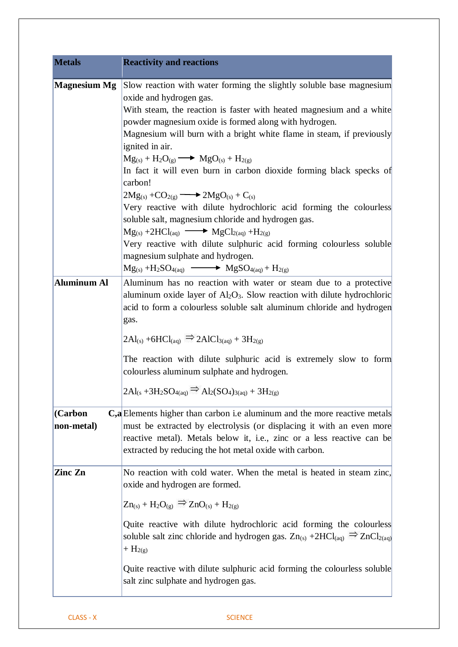| <b>Metals</b>             | <b>Reactivity and reactions</b>                                                                                                                                                                                                                                                                                                                                                                                                                                                                                                                                                                                                                                                                                                                                                                                                                                                                                                |
|---------------------------|--------------------------------------------------------------------------------------------------------------------------------------------------------------------------------------------------------------------------------------------------------------------------------------------------------------------------------------------------------------------------------------------------------------------------------------------------------------------------------------------------------------------------------------------------------------------------------------------------------------------------------------------------------------------------------------------------------------------------------------------------------------------------------------------------------------------------------------------------------------------------------------------------------------------------------|
| <b>Magnesium Mg</b>       | Slow reaction with water forming the slightly soluble base magnesium<br>oxide and hydrogen gas.<br>With steam, the reaction is faster with heated magnesium and a white<br>powder magnesium oxide is formed along with hydrogen.<br>Magnesium will burn with a bright white flame in steam, if previously<br>ignited in air.<br>$Mg_{(s)} + H_2O_{(g)} \longrightarrow MgO_{(s)} + H_{2(g)}$<br>In fact it will even burn in carbon dioxide forming black specks of<br>carbon!<br>$2Mg_{(s)} + CO_{2(g)} \longrightarrow 2Mg_{(s)} + C_{(s)}$<br>Very reactive with dilute hydrochloric acid forming the colourless<br>soluble salt, magnesium chloride and hydrogen gas.<br>$Mg_{(s)} + 2HCl_{(aq)} \longrightarrow MgCl_{2(aq)} + H_{2(g)}$<br>Very reactive with dilute sulphuric acid forming colourless soluble<br>magnesium sulphate and hydrogen.<br>$Mg_{(s)} + H_2SO_{4(aq)} \longrightarrow MgSO_{4(aq)} + H_{2(g)}$ |
| Aluminum Al               | Aluminum has no reaction with water or steam due to a protective<br>aluminum oxide layer of $Al_2O_3$ . Slow reaction with dilute hydrochloric<br>acid to form a colourless soluble salt aluminum chloride and hydrogen<br>gas.<br>$2Al_{(s)} + 6HCl_{(aq)} \implies 2AlCl_{3(aq)} + 3H_{2(g)}$<br>The reaction with dilute sulphuric acid is extremely slow to form<br>colourless aluminum sulphate and hydrogen.<br>$2Al_{(s} + 3H_2SO_{4(aq)} \Rightarrow Al_2(SO_4)_{3(aq)} + 3H_{2(g)}$                                                                                                                                                                                                                                                                                                                                                                                                                                   |
| $ $ (Carbon<br>non-metal) | <b>C,a</b> Elements higher than carbon i.e aluminum and the more reactive metals<br>must be extracted by electrolysis (or displacing it with an even more<br>reactive metal). Metals below it, i.e., zinc or a less reactive can be<br>extracted by reducing the hot metal oxide with carbon.                                                                                                                                                                                                                                                                                                                                                                                                                                                                                                                                                                                                                                  |
| Zinc Zn                   | No reaction with cold water. When the metal is heated in steam zinc,<br>oxide and hydrogen are formed.<br>$Zn_{(s)} + H_2O_{(g)} \Rightarrow ZnO_{(s)} + H_{2(g)}$<br>Quite reactive with dilute hydrochloric acid forming the colourless<br>soluble salt zinc chloride and hydrogen gas. $Zn_{(s)} + 2HCl_{(aq)} \implies ZnCl_{2(aq)}$<br>$+ H_{2(g)}$<br>Quite reactive with dilute sulphuric acid forming the colourless soluble<br>salt zinc sulphate and hydrogen gas.                                                                                                                                                                                                                                                                                                                                                                                                                                                   |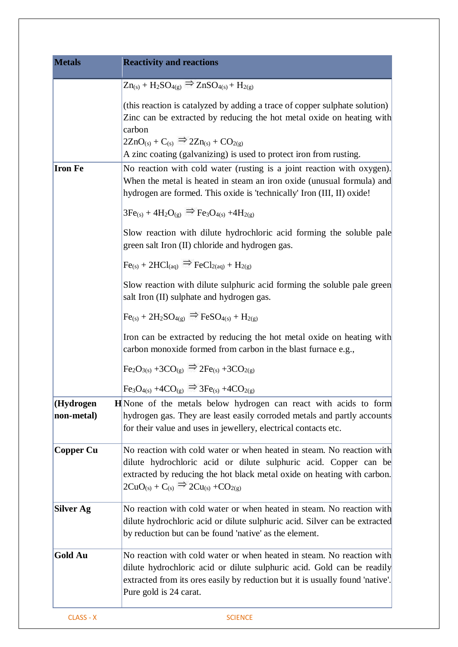| <b>Metals</b>           | <b>Reactivity and reactions</b>                                                                                                                                                                                                                                                                 |
|-------------------------|-------------------------------------------------------------------------------------------------------------------------------------------------------------------------------------------------------------------------------------------------------------------------------------------------|
|                         | $Zn_{(s)}$ + H <sub>2</sub> SO <sub>4(g)</sub> $\Rightarrow$ ZnSO <sub>4(s)</sub> + H <sub>2(g)</sub>                                                                                                                                                                                           |
|                         | (this reaction is catalyzed by adding a trace of copper sulphate solution)<br>Zinc can be extracted by reducing the hot metal oxide on heating with<br>carbon<br>$2ZnO_{(s)} + C_{(s)} \Rightarrow 2Zn_{(s)} + CO_{2(g)}$<br>A zinc coating (galvanizing) is used to protect iron from rusting. |
| <b>Iron Fe</b>          | No reaction with cold water (rusting is a joint reaction with oxygen).<br>When the metal is heated in steam an iron oxide (unusual formula) and<br>hydrogen are formed. This oxide is 'technically' Iron (III, II) oxide!                                                                       |
|                         | $3Fe_{(s)} + 4H_2O_{(g)} \Rightarrow Fe_3O_{4(s)} + 4H_{2(g)}$                                                                                                                                                                                                                                  |
|                         | Slow reaction with dilute hydrochloric acid forming the soluble pale<br>green salt Iron (II) chloride and hydrogen gas.                                                                                                                                                                         |
|                         | $Fe(s) + 2HCl(aq) \Rightarrow FeCl_{2(aq)} + H_{2(g)}$                                                                                                                                                                                                                                          |
|                         | Slow reaction with dilute sulphuric acid forming the soluble pale green<br>salt Iron (II) sulphate and hydrogen gas.                                                                                                                                                                            |
|                         | $Fe_{(s)} + 2H_2SO_{4(g)} \Rightarrow FeSO_{4(s)} + H_{2(g)}$                                                                                                                                                                                                                                   |
|                         | Iron can be extracted by reducing the hot metal oxide on heating with<br>carbon monoxide formed from carbon in the blast furnace e.g.,                                                                                                                                                          |
|                         | $\text{Fe}_2\text{O}_{3(s)} + 3\text{CO}_{(g)} \Rightarrow 2\text{Fe}_{(s)} + 3\text{CO}_{2(g)}$                                                                                                                                                                                                |
|                         | $\text{Fe}_3\text{O}_{4(s)} + 4\text{CO}_{(g)} \Rightarrow 3\text{Fe}_{(s)} + 4\text{CO}_{2(g)}$                                                                                                                                                                                                |
| (Hydrogen<br>non-metal) | <b>H</b> None of the metals below hydrogen can react with acids to form<br>hydrogen gas. They are least easily corroded metals and partly accounts<br>for their value and uses in jewellery, electrical contacts etc.                                                                           |
| Copper Cu               | No reaction with cold water or when heated in steam. No reaction with<br>dilute hydrochloric acid or dilute sulphuric acid. Copper can be<br>extracted by reducing the hot black metal oxide on heating with carbon.<br>$2CuO_{(s)} + C_{(s)} \Rightarrow 2Cu_{(s)} + CO_{2(g)}$                |
| <b>Silver Ag</b>        | No reaction with cold water or when heated in steam. No reaction with<br>dilute hydrochloric acid or dilute sulphuric acid. Silver can be extracted<br>by reduction but can be found 'native' as the element.                                                                                   |
| <b>Gold Au</b>          | No reaction with cold water or when heated in steam. No reaction with<br>dilute hydrochloric acid or dilute sulphuric acid. Gold can be readily<br>extracted from its ores easily by reduction but it is usually found 'native'.<br>Pure gold is 24 carat.                                      |
| CLASS - X               | <b>SCIENCE</b>                                                                                                                                                                                                                                                                                  |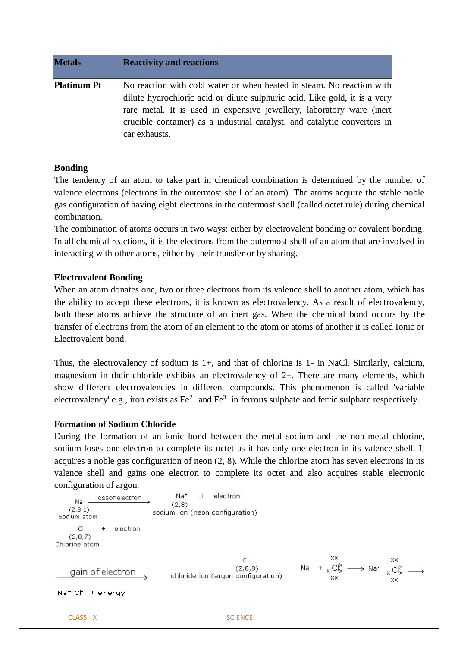| <b>Metals</b>      | <b>Reactivity and reactions</b>                                                                                                                                                                                                                                                                                            |
|--------------------|----------------------------------------------------------------------------------------------------------------------------------------------------------------------------------------------------------------------------------------------------------------------------------------------------------------------------|
| <b>Platinum Pt</b> | No reaction with cold water or when heated in steam. No reaction with<br>dilute hydrochloric acid or dilute sulphuric acid. Like gold, it is a very<br>rare metal. It is used in expensive jewellery, laboratory ware (inert<br>crucible container) as a industrial catalyst, and catalytic converters in<br>car exhausts. |

## **Bonding**

The tendency of an atom to take part in chemical combination is determined by the number of valence electrons (electrons in the outermost shell of an atom). The atoms acquire the stable noble gas configuration of having eight electrons in the outermost shell (called octet rule) during chemical combination.

The combination of atoms occurs in two ways: either by electrovalent bonding or covalent bonding. In all chemical reactions, it is the electrons from the outermost shell of an atom that are involved in interacting with other atoms, either by their transfer or by sharing.

## **Electrovalent Bonding**

When an atom donates one, two or three electrons from its valence shell to another atom, which has the ability to accept these electrons, it is known as electrovalency. As a result of electrovalency, both these atoms achieve the structure of an inert gas. When the chemical bond occurs by the transfer of electrons from the atom of an element to the atom or atoms of another it is called Ionic or Electrovalent bond.

Thus, the electrovalency of sodium is 1+, and that of chlorine is 1- in NaCl. Similarly, calcium, magnesium in their chloride exhibits an electrovalency of 2+. There are many elements, which show different electrovalencies in different compounds. This phenomenon is called 'variable electrovalency' e.g., iron exists as  $Fe^{2+}$  and  $Fe^{3+}$  in ferrous sulphate and ferric sulphate respectively.

## **Formation of Sodium Chloride**

During the formation of an ionic bond between the metal sodium and the non-metal chlorine, sodium loses one electron to complete its octet as it has only one electron in its valence shell. It acquires a noble gas configuration of neon (2, 8). While the chlorine atom has seven electrons in its valence shell and gains one electron to complete its octet and also acquires stable electronic configuration of argon.

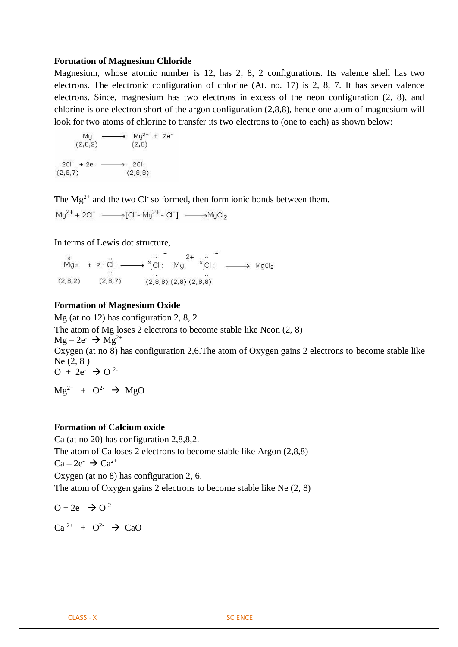#### **Formation of Magnesium Chloride**

Magnesium, whose atomic number is 12, has 2, 8, 2 configurations. Its valence shell has two electrons. The electronic configuration of chlorine (At. no. 17) is 2, 8, 7. It has seven valence electrons. Since, magnesium has two electrons in excess of the neon configuration (2, 8), and chlorine is one electron short of the argon configuration  $(2,8,8)$ , hence one atom of magnesium will look for two atoms of chlorine to transfer its two electrons to (one to each) as shown below:



The  $Mg^{2+}$  and the two Cl so formed, then form ionic bonds between them.

 $Mg^{2+}$  + 2Cl<sup>-</sup>  $\longrightarrow$  [Cl<sup>-</sup>- Mg<sup>2+</sup> - Cl<sup>-</sup>]  $\longrightarrow$  MgCl<sub>2</sub>

#### In terms of Lewis dot structure,

 $M_{\text{gx}}$  + 2  $\ddot{C}$  :  $\longrightarrow X\ddot{C}$  :  $M_{\text{g}}$   $X\ddot{C}$  :  $M_{\text{g}}$   $X\ddot{C}$  :  $\longrightarrow M_{\text{g}}$   $C_{\text{g}}$  $(2,8,7)$   $(2,8,8)$   $(2,8)$   $(2,8,8)$  $(2,8,2)$ 

#### **Formation of Magnesium Oxide**

Mg (at no 12) has configuration 2, 8, 2. The atom of Mg loses 2 electrons to become stable like Neon (2, 8)  $Mg - 2e^- \rightarrow Mg^{2+}$ Oxygen (at no 8) has configuration 2,6.The atom of Oxygen gains 2 electrons to become stable like Ne (2, 8 )  $O + 2e^ \rightarrow O^{2}$ 

 $Mg^{2+} + O^{2-} \rightarrow MgO$ 

#### **Formation of Calcium oxide**

Ca (at no 20) has configuration 2,8,8,2. The atom of Ca loses 2 electrons to become stable like Argon (2,8,8)  $Ca-2e^- \rightarrow Ca^{2+}$ Oxygen (at no 8) has configuration 2, 6. The atom of Oxygen gains 2 electrons to become stable like Ne (2, 8)

 $O + 2e^ \rightarrow$   $O^{2}$ 

 $Ca^{2+} + O^{2-} \rightarrow CaO$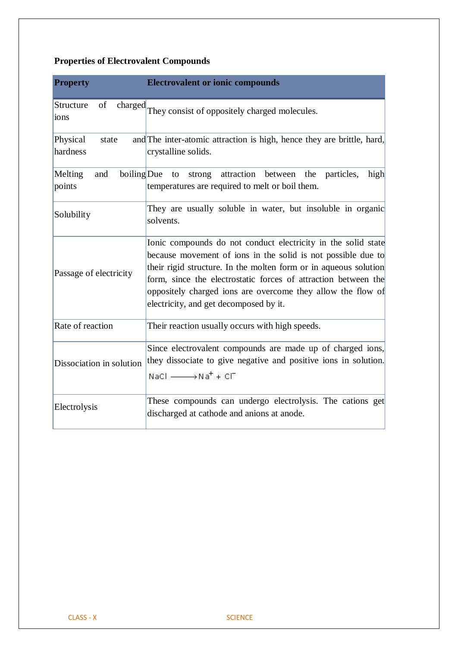# **Properties of Electrovalent Compounds**

| <b>Property</b>               | <b>Electrovalent or ionic compounds</b>                                                                                                                                                                                                                                                                                                                                      |
|-------------------------------|------------------------------------------------------------------------------------------------------------------------------------------------------------------------------------------------------------------------------------------------------------------------------------------------------------------------------------------------------------------------------|
| of<br>Structure<br>ions       | charged They consist of oppositely charged molecules.                                                                                                                                                                                                                                                                                                                        |
| Physical<br>state<br>hardness | and The inter-atomic attraction is high, hence they are brittle, hard,<br>crystalline solids.                                                                                                                                                                                                                                                                                |
| Melting<br>and<br>points      | boiling Due to<br>strong attraction between the<br>particles,<br>high<br>temperatures are required to melt or boil them.                                                                                                                                                                                                                                                     |
| Solubility                    | They are usually soluble in water, but insoluble in organic<br>solvents.                                                                                                                                                                                                                                                                                                     |
| Passage of electricity        | Ionic compounds do not conduct electricity in the solid state<br>because movement of ions in the solid is not possible due to<br>their rigid structure. In the molten form or in aqueous solution<br>form, since the electrostatic forces of attraction between the<br>oppositely charged ions are overcome they allow the flow of<br>electricity, and get decomposed by it. |
| Rate of reaction              | Their reaction usually occurs with high speeds.                                                                                                                                                                                                                                                                                                                              |
| Dissociation in solution      | Since electrovalent compounds are made up of charged ions,<br>they dissociate to give negative and positive ions in solution.<br>$NaCl \longrightarrow Na^+ + Cl^-$                                                                                                                                                                                                          |
| Electrolysis                  | These compounds can undergo electrolysis. The cations get<br>discharged at cathode and anions at anode.                                                                                                                                                                                                                                                                      |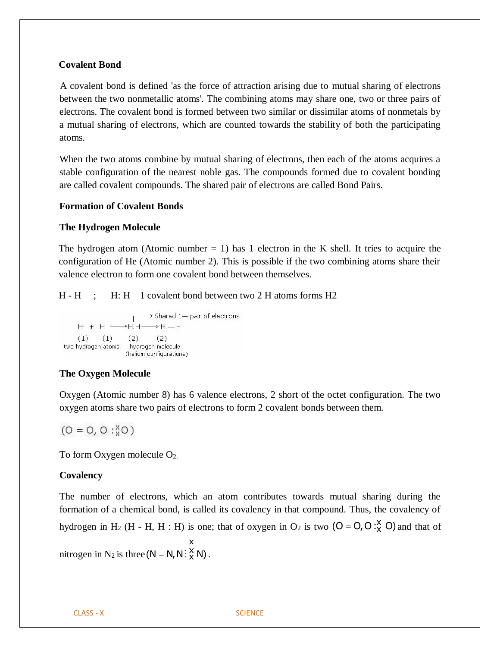#### **Covalent Bond**

A covalent bond is defined 'as the force of attraction arising due to mutual sharing of electrons between the two nonmetallic atoms'. The combining atoms may share one, two or three pairs of electrons. The covalent bond is formed between two similar or dissimilar atoms of nonmetals by a mutual sharing of electrons, which are counted towards the stability of both the participating atoms.

When the two atoms combine by mutual sharing of electrons, then each of the atoms acquires a stable configuration of the nearest noble gas. The compounds formed due to covalent bonding are called covalent compounds. The shared pair of electrons are called Bond Pairs.

#### **Formation of Covalent Bonds**

#### **The Hydrogen Molecule**

The hydrogen atom (Atomic number  $= 1$ ) has 1 electron in the K shell. It tries to acquire the configuration of He (Atomic number 2). This is possible if the two combining atoms share their valence electron to form one covalent bond between themselves.

#### H - H ; H: H 1 covalent bond between two 2 H atoms forms H2



## **The Oxygen Molecule**

Oxygen (Atomic number 8) has 6 valence electrons, 2 short of the octet configuration. The two oxygen atoms share two pairs of electrons to form 2 covalent bonds between them.

$$
(O = O, O : X O)
$$

To form Oxygen molecule O2.

## **Covalency**

The number of electrons, which an atom contributes towards mutual sharing during the formation of a chemical bond, is called its covalency in that compound. Thus, the covalency of hydrogen in H<sub>2</sub> (H - H, H : H) is one; that of oxygen in O<sub>2</sub> is two  $(O = O, O : X^{\times}Q)$  and that of

nitrogen in N<sub>2</sub> is three  $(N = N, N : X \times N)$ . x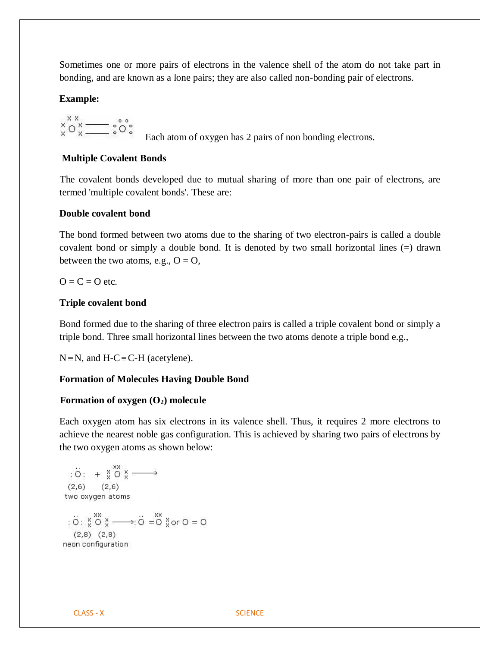Sometimes one or more pairs of electrons in the valence shell of the atom do not take part in bonding, and are known as a lone pairs; they are also called non-bonding pair of electrons.

#### **Example:**

$$
\overset{\ast}{\circ} \overset{\ast}{\circ} \overset{\ast}{\underset{\ast}{\cdot}} = \overset{\ast}{\circ} \overset{\ast}{\circ}
$$

Each atom of oxygen has 2 pairs of non bonding electrons.

#### **Multiple Covalent Bonds**

The covalent bonds developed due to mutual sharing of more than one pair of electrons, are termed 'multiple covalent bonds'. These are:

#### **Double covalent bond**

The bond formed between two atoms due to the sharing of two electron-pairs is called a double covalent bond or simply a double bond. It is denoted by two small horizontal lines (=) drawn between the two atoms, e.g.,  $O = O$ ,

 $Q = C = Q$  etc.

#### **Triple covalent bond**

Bond formed due to the sharing of three electron pairs is called a triple covalent bond or simply a triple bond. Three small horizontal lines between the two atoms denote a triple bond e.g.,

 $N = N$ , and  $H-C \equiv C-H$  (acetylene).

## **Formation of Molecules Having Double Bond**

#### **Formation of oxygen (O2) molecule**

Each oxygen atom has six electrons in its valence shell. Thus, it requires 2 more electrons to achieve the nearest noble gas configuration. This is achieved by sharing two pairs of electrons by the two oxygen atoms as shown below:

$$
\begin{array}{rcl}\n\vdots & \ddots & & \ddots & \ddots & \ddots & \cdots & \cdots \\
\text{(2,6)} & & & (2,6) & & \\
\text{two oxygen atoms} & & & \\
\vdots & \ddots & \ddots & \ddots & \ddots & \ddots & \vdots \\
\vdots & \ddots & \ddots & \ddots & \ddots & \ddots & \vdots \\
\vdots & \ddots & \ddots & \ddots & \ddots & \ddots & \vdots \\
\vdots & \ddots & \ddots & \ddots & \ddots & \ddots & \vdots \\
\vdots & \ddots & \ddots & \ddots & \ddots & \ddots & \ddots \\
\end{array}
$$
\n
$$
\begin{array}{rcl}\n\vdots & \ddots & \ddots & \ddots & \ddots \\
\vdots & \ddots & \ddots & \ddots & \ddots \\
\vdots & \ddots & \ddots & \ddots & \ddots \\
\end{array}
$$
\n
$$
\begin{array}{rcl}\n\vdots & \ddots & \ddots & \ddots \\
\vdots & \ddots & \ddots & \ddots \\
\vdots & \ddots & \ddots & \ddots & \ddots \\
\end{array}
$$
\n
$$
\begin{array}{rcl}\n\vdots & \ddots & \ddots & \ddots \\
\vdots & \ddots & \ddots & \ddots & \ddots \\
\vdots & \ddots & \ddots & \ddots & \ddots \\
\end{array}
$$

 $\circ$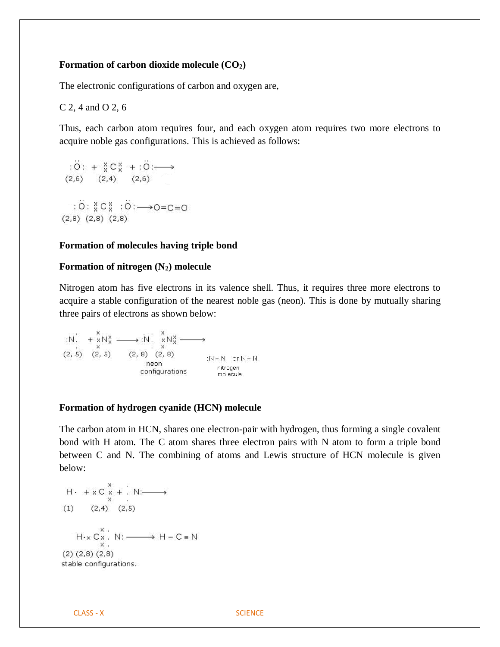#### **Formation of carbon dioxide molecule (CO2)**

The electronic configurations of carbon and oxygen are,

C 2, 4 and O 2, 6

 $\ddot{\phantom{a}}$ 

Thus, each carbon atom requires four, and each oxygen atom requires two more electrons to acquire noble gas configurations. This is achieved as follows:

$$
:O: + \underset{0}{\times} C \underset{0}{\times} + :O: \longrightarrow
$$
  
(2,6) (2,4) (2,6)  

$$
: \overset{\sim}{O}: \underset{0}{\times} C \underset{0}{\times} : \overset{\sim}{O}: \longrightarrow O=C=O
$$
  
(2,8) (2,8) (2,8)

#### **Formation of molecules having triple bond**

 $\ddot{\phantom{a}}$ 

## **Formation of nitrogen (N2) molecule**

Nitrogen atom has five electrons in its valence shell. Thus, it requires three more electrons to acquire a stable configuration of the nearest noble gas (neon). This is done by mutually sharing three pairs of electrons as shown below:

#### **Formation of hydrogen cyanide (HCN) molecule**

The carbon atom in HCN, shares one electron-pair with hydrogen, thus forming a single covalent bond with H atom. The C atom shares three electron pairs with N atom to form a triple bond between C and N. The combining of atoms and Lewis structure of HCN molecule is given below:

H. 
$$
+ \times C \times + \times N: \longrightarrow
$$
  
\n(1) (2,4) (2,5)  
\nH.  $\times C \times \times \times N: \longrightarrow H - C = N$   
\n(2) (2,8) (2,8)  
\nstable configurations.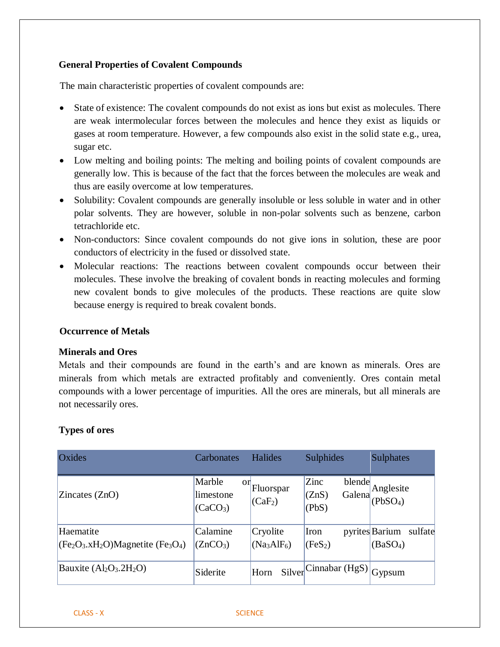## **General Properties of Covalent Compounds**

The main characteristic properties of covalent compounds are:

- State of existence: The covalent compounds do not exist as ions but exist as molecules. There are weak intermolecular forces between the molecules and hence they exist as liquids or gases at room temperature. However, a few compounds also exist in the solid state e.g., urea, sugar etc.
- Low melting and boiling points: The melting and boiling points of covalent compounds are generally low. This is because of the fact that the forces between the molecules are weak and thus are easily overcome at low temperatures.
- Solubility: Covalent compounds are generally insoluble or less soluble in water and in other polar solvents. They are however, soluble in non-polar solvents such as benzene, carbon tetrachloride etc.
- Non-conductors: Since covalent compounds do not give ions in solution, these are poor conductors of electricity in the fused or dissolved state.
- Molecular reactions: The reactions between covalent compounds occur between their molecules. These involve the breaking of covalent bonds in reacting molecules and forming new covalent bonds to give molecules of the products. These reactions are quite slow because energy is required to break covalent bonds.

## **Occurrence of Metals**

## **Minerals and Ores**

Metals and their compounds are found in the earth's and are known as minerals. Ores are minerals from which metals are extracted profitably and conveniently. Ores contain metal compounds with a lower percentage of impurities. All the ores are minerals, but all minerals are not necessarily ores.

## **Types of ores**

| Oxides                                       | Carbonates                                        | Halides                          | Sulphides                                                                     | <b>Sulphates</b>                                  |
|----------------------------------------------|---------------------------------------------------|----------------------------------|-------------------------------------------------------------------------------|---------------------------------------------------|
| $\text{Zincates (ZnO)}$                      | Marble<br>or<br>limestone<br>(CaCO <sub>3</sub> ) | Fluorspar<br>(CaF <sub>2</sub> ) | Zinc<br>blende<br>(ZnS)<br>(PbS)                                              | $\frac{\text{olende}}{\text{Galena}}$ Anglesite   |
| Haematite<br>$(CFe2O3.xH2O)Magnetic (Fe3O4)$ | Calamine<br>(ZnCO <sub>3</sub> )                  | Cryolite<br>$(Na_3AlF_6)$        | Iron<br>  (FeS <sub>2</sub> )                                                 | pyrites Barium<br>sulfate<br>(BaSO <sub>4</sub> ) |
| Bauxite $(Al_2O_3.2H_2O)$                    | Siderite                                          | Horn                             | $\text{Silver}^{\text{Cinnabar}}\left(\text{HgS}\right)\big _{\text{Gypsum}}$ |                                                   |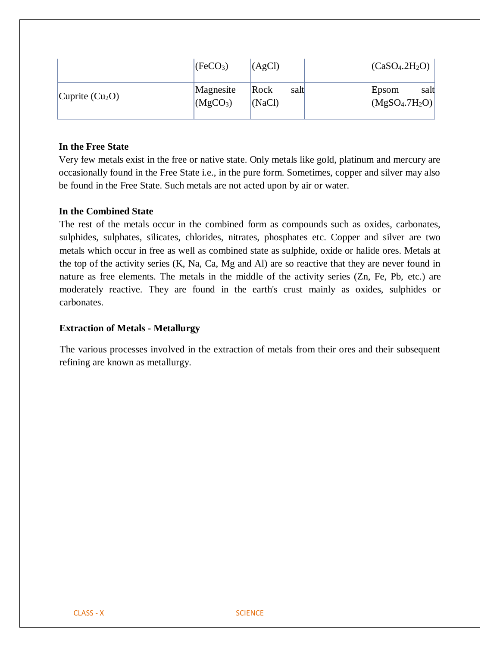|                   | [FeCO <sub>3</sub> ]              | (AgCl)                 | (CaSO <sub>4</sub> .2H <sub>2</sub> O) |
|-------------------|-----------------------------------|------------------------|----------------------------------------|
| Cuprite $(Cu_2O)$ | Magnesite<br>(MgCO <sub>3</sub> ) | Rock<br>salt<br>(NaCl) | Epsom<br>salt<br>$ (MgSO_4.7H_2O) $    |

## **In the Free State**

Very few metals exist in the free or native state. Only metals like gold, platinum and mercury are occasionally found in the Free State i.e., in the pure form. Sometimes, copper and silver may also be found in the Free State. Such metals are not acted upon by air or water.

#### **In the Combined State**

The rest of the metals occur in the combined form as compounds such as oxides, carbonates, sulphides, sulphates, silicates, chlorides, nitrates, phosphates etc. Copper and silver are two metals which occur in free as well as combined state as sulphide, oxide or halide ores. Metals at the top of the activity series (K, Na, Ca, Mg and Al) are so reactive that they are never found in nature as free elements. The metals in the middle of the activity series (Zn, Fe, Pb, etc.) are moderately reactive. They are found in the earth's crust mainly as oxides, sulphides or carbonates.

#### **Extraction of Metals - Metallurgy**

The various processes involved in the extraction of metals from their ores and their subsequent refining are known as metallurgy.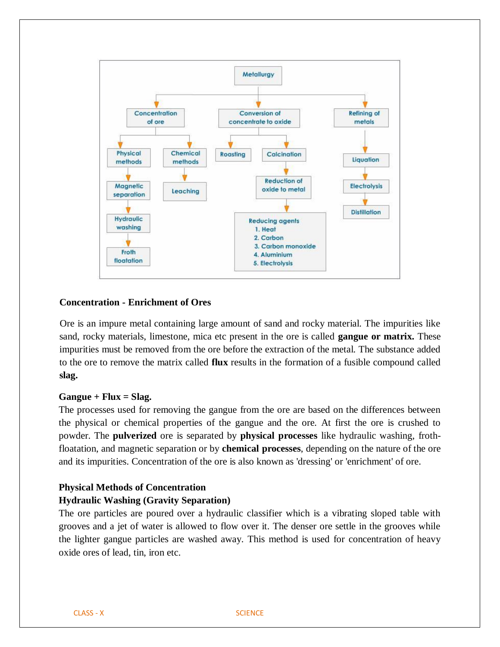

## **Concentration - Enrichment of Ores**

Ore is an impure metal containing large amount of sand and rocky material. The impurities like sand, rocky materials, limestone, mica etc present in the ore is called **gangue or matrix.** These impurities must be removed from the ore before the extraction of the metal. The substance added to the ore to remove the matrix called **flux** results in the formation of a fusible compound called **slag.**

#### **Gangue + Flux = Slag.**

The processes used for removing the gangue from the ore are based on the differences between the physical or chemical properties of the gangue and the ore. At first the ore is crushed to powder. The **pulverized** ore is separated by **physical processes** like hydraulic washing, frothfloatation, and magnetic separation or by **chemical processes**, depending on the nature of the ore and its impurities. Concentration of the ore is also known as 'dressing' or 'enrichment' of ore.

## **Physical Methods of Concentration**

#### **Hydraulic Washing (Gravity Separation)**

The ore particles are poured over a hydraulic classifier which is a vibrating sloped table with grooves and a jet of water is allowed to flow over it. The denser ore settle in the grooves while the lighter gangue particles are washed away. This method is used for concentration of heavy oxide ores of lead, tin, iron etc.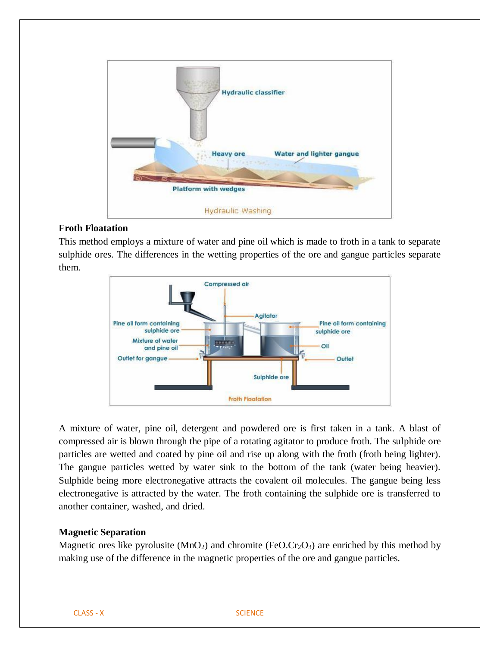

## **Froth Floatation**

This method employs a mixture of water and pine oil which is made to froth in a tank to separate sulphide ores. The differences in the wetting properties of the ore and gangue particles separate them.



A mixture of water, pine oil, detergent and powdered ore is first taken in a tank. A blast of compressed air is blown through the pipe of a rotating agitator to produce froth. The sulphide ore particles are wetted and coated by pine oil and rise up along with the froth (froth being lighter). The gangue particles wetted by water sink to the bottom of the tank (water being heavier). Sulphide being more electronegative attracts the covalent oil molecules. The gangue being less electronegative is attracted by the water. The froth containing the sulphide ore is transferred to another container, washed, and dried.

## **Magnetic Separation**

Magnetic ores like pyrolusite  $(MnO_2)$  and chromite (FeO.Cr<sub>2</sub>O<sub>3</sub>) are enriched by this method by making use of the difference in the magnetic properties of the ore and gangue particles.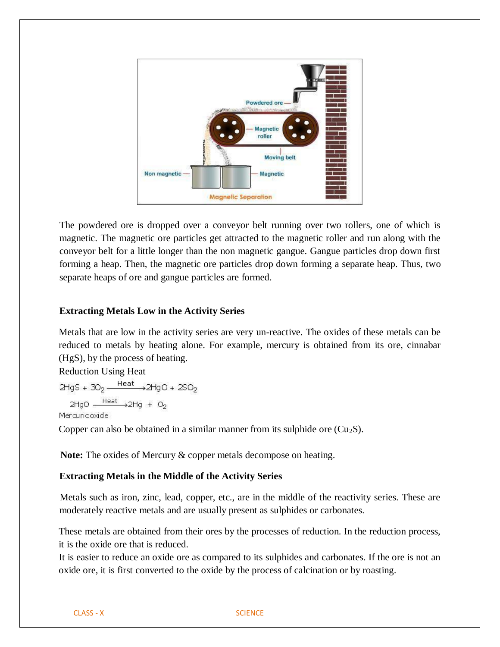

The powdered ore is dropped over a conveyor belt running over two rollers, one of which is magnetic. The magnetic ore particles get attracted to the magnetic roller and run along with the conveyor belt for a little longer than the non magnetic gangue. Gangue particles drop down first forming a heap. Then, the magnetic ore particles drop down forming a separate heap. Thus, two separate heaps of ore and gangue particles are formed.

## **Extracting Metals Low in the Activity Series**

Metals that are low in the activity series are very un-reactive. The oxides of these metals can be reduced to metals by heating alone. For example, mercury is obtained from its ore, cinnabar (HgS), by the process of heating.

Reduction Using Heat

 $2HgS + 3O<sub>2</sub> \xrightarrow{Heat} 2HgO + 2SO<sub>2</sub>$  $2HgO \xrightarrow{Heat} 2Hg + O<sub>2</sub>$ 

Mercuricoxide

Copper can also be obtained in a similar manner from its sulphide ore  $(Cu_2S)$ .

**Note:** The oxides of Mercury & copper metals decompose on heating.

#### **Extracting Metals in the Middle of the Activity Series**

Metals such as iron, zinc, lead, copper, etc., are in the middle of the reactivity series. These are moderately reactive metals and are usually present as sulphides or carbonates.

These metals are obtained from their ores by the processes of reduction. In the reduction process, it is the oxide ore that is reduced.

It is easier to reduce an oxide ore as compared to its sulphides and carbonates. If the ore is not an oxide ore, it is first converted to the oxide by the process of calcination or by roasting.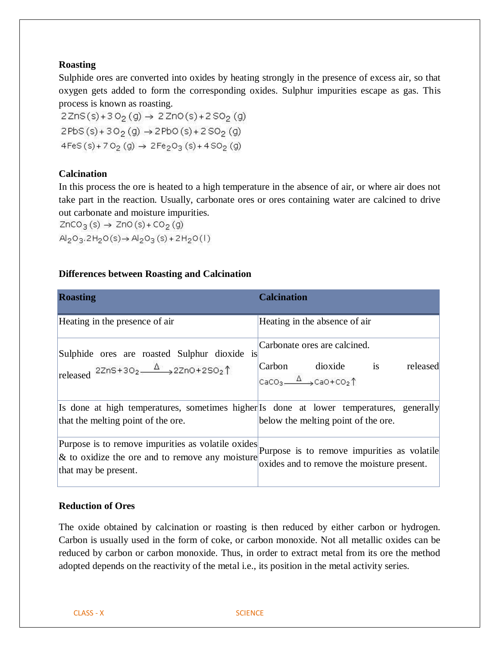## **Roasting**

Sulphide ores are converted into oxides by heating strongly in the presence of excess air, so that oxygen gets added to form the corresponding oxides. Sulphur impurities escape as gas. This process is known as roasting.

 $2ZnS(s) + 3O<sub>2</sub>(g) \rightarrow 2ZnO(s) + 2SO<sub>2</sub>(g)$  $2PbS(s) + 3O<sub>2</sub>(g) \rightarrow 2PbO(s) + 2SO<sub>2</sub>(g)$  $4FeS(S) + 7O<sub>2</sub>(g) \rightarrow 2Fe<sub>2</sub>O<sub>3</sub>(s) + 4SO<sub>2</sub>(g)$ 

## **Calcination**

In this process the ore is heated to a high temperature in the absence of air, or where air does not take part in the reaction. Usually, carbonate ores or ores containing water are calcined to drive out carbonate and moisture impurities.

 $ZnCO<sub>3</sub>(s) \rightarrow ZnO(s) + CO<sub>2</sub>(g)$  $Al_2O_3.2H_2O(s) \rightarrow Al_2O_3(s) + 2H_2O(1)$ 

## **Differences between Roasting and Calcination**

| <b>Roasting</b>                                                                                                                  | <b>Calcination</b>                                                                        |
|----------------------------------------------------------------------------------------------------------------------------------|-------------------------------------------------------------------------------------------|
| Heating in the presence of air                                                                                                   | Heating in the absence of air                                                             |
| is<br>Sulphide ores are roasted Sulphur dioxide<br>released $22n5+302 \xrightarrow{\Delta} 22n0+2502$                            | Carbonate ores are calcined.<br>Carbon dioxide is<br>released                             |
|                                                                                                                                  | CaCO <sub>3</sub> $\triangle$ $\rightarrow$ CaO+CO <sub>2</sub> <sup>†</sup>              |
| Is done at high temperatures, sometimes higher Is done at lower temperatures, generally                                          |                                                                                           |
| that the melting point of the ore.                                                                                               | below the melting point of the ore.                                                       |
| Purpose is to remove impurities as volatile oxides<br>$\&$ to oxidize the ore and to remove any moisture<br>that may be present. | Purpose is to remove impurities as volatile<br>oxides and to remove the moisture present. |

## **Reduction of Ores**

The oxide obtained by calcination or roasting is then reduced by either carbon or hydrogen. Carbon is usually used in the form of coke, or carbon monoxide. Not all metallic oxides can be reduced by carbon or carbon monoxide. Thus, in order to extract metal from its ore the method adopted depends on the reactivity of the metal i.e., its position in the metal activity series.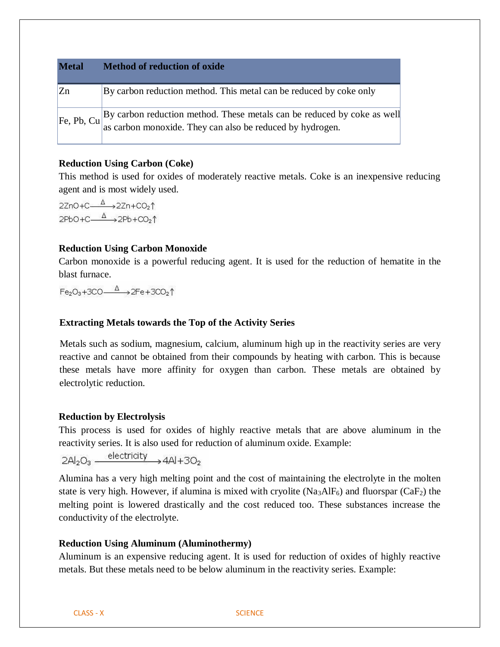| <b>Metal</b> | <b>Method of reduction of oxide</b>                                                                                                  |  |
|--------------|--------------------------------------------------------------------------------------------------------------------------------------|--|
| $ Z_{n} $    | By carbon reduction method. This metal can be reduced by coke only                                                                   |  |
| [Fe, Pb, Cu] | By carbon reduction method. These metals can be reduced by coke as well<br>as carbon monoxide. They can also be reduced by hydrogen. |  |

## **Reduction Using Carbon (Coke)**

This method is used for oxides of moderately reactive metals. Coke is an inexpensive reducing agent and is most widely used.

 $2ZnO+C \xrightarrow{\Delta} 2Zn+CO<sub>2</sub>$  $2PbO+C \xrightarrow{\Delta} 2Pb+CO<sub>2</sub>$ 

#### **Reduction Using Carbon Monoxide**

Carbon monoxide is a powerful reducing agent. It is used for the reduction of hematite in the blast furnace.

 $Fe<sub>2</sub>O<sub>3</sub>+3CO \xrightarrow{\Delta}$   $2Fe+3CO<sub>2</sub>$ <sup>↑</sup>

#### **Extracting Metals towards the Top of the Activity Series**

Metals such as sodium, magnesium, calcium, aluminum high up in the reactivity series are very reactive and cannot be obtained from their compounds by heating with carbon. This is because these metals have more affinity for oxygen than carbon. These metals are obtained by electrolytic reduction.

#### **Reduction by Electrolysis**

This process is used for oxides of highly reactive metals that are above aluminum in the reactivity series. It is also used for reduction of aluminum oxide. Example:

 $2Al_2O_3 \xrightarrow{\text{electricity}} 4Al+3O_2$ 

Alumina has a very high melting point and the cost of maintaining the electrolyte in the molten state is very high. However, if alumina is mixed with cryolite (Na<sub>3</sub>AlF<sub>6</sub>) and fluorspar (CaF<sub>2</sub>) the melting point is lowered drastically and the cost reduced too. These substances increase the conductivity of the electrolyte.

#### **Reduction Using Aluminum (Aluminothermy)**

Aluminum is an expensive reducing agent. It is used for reduction of oxides of highly reactive metals. But these metals need to be below aluminum in the reactivity series. Example: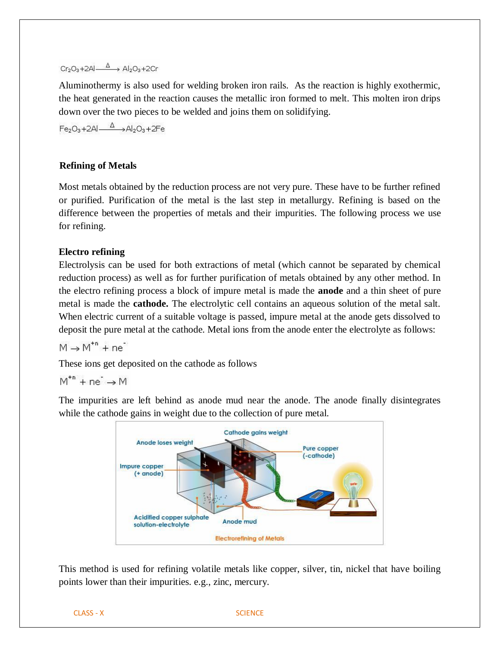## $Cr_2O_3+2Al$   $\stackrel{\Delta}{\longrightarrow}$  Al<sub>2</sub>O<sub>3</sub>+2Cr

Aluminothermy is also used for welding broken iron rails. As the reaction is highly exothermic, the heat generated in the reaction causes the metallic iron formed to melt. This molten iron drips down over the two pieces to be welded and joins them on solidifying.

 $Fe_2O_3 + 2Al \xrightarrow{\Delta} Al_2O_3 + 2Fe$ 

## **Refining of Metals**

Most metals obtained by the reduction process are not very pure. These have to be further refined or purified. Purification of the metal is the last step in metallurgy. Refining is based on the difference between the properties of metals and their impurities. The following process we use for refining.

## **Electro refining**

Electrolysis can be used for both extractions of metal (which cannot be separated by chemical reduction process) as well as for further purification of metals obtained by any other method. In the electro refining process a block of impure metal is made the **anode** and a thin sheet of pure metal is made the **cathode.** The electrolytic cell contains an aqueous solution of the metal salt. When electric current of a suitable voltage is passed, impure metal at the anode gets dissolved to deposit the pure metal at the cathode. Metal ions from the anode enter the electrolyte as follows:

 $M \rightarrow M^{tn} + ne^{-}$ 

These ions get deposited on the cathode as follows

$$
M^{*n} + ne^{-} \rightarrow M
$$

The impurities are left behind as anode mud near the anode. The anode finally disintegrates while the cathode gains in weight due to the collection of pure metal.



This method is used for refining volatile metals like copper, silver, tin, nickel that have boiling points lower than their impurities. e.g., zinc, mercury.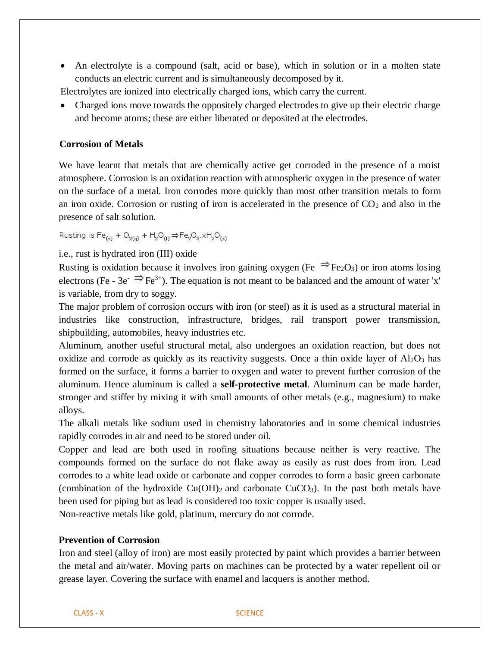• An electrolyte is a compound (salt, acid or base), which in solution or in a molten state conducts an electric current and is simultaneously decomposed by it.

Electrolytes are ionized into electrically charged ions, which carry the current.

• Charged ions move towards the oppositely charged electrodes to give up their electric charge and become atoms; these are either liberated or deposited at the electrodes.

## **Corrosion of Metals**

We have learnt that metals that are chemically active get corroded in the presence of a moist atmosphere. Corrosion is an oxidation reaction with atmospheric oxygen in the presence of water on the surface of a metal. Iron corrodes more quickly than most other transition metals to form an iron oxide. Corrosion or rusting of iron is accelerated in the presence of  $CO<sub>2</sub>$  and also in the presence of salt solution.

Rusting is  $\text{Fe}_{(s)} + \text{O}_{2(q)} + \text{H}_{2}\text{O}_{(t)} \Rightarrow \text{Fe}_{2}\text{O}_{3} \times \text{H}_{2}\text{O}_{(s)}$ 

#### i.e., rust is hydrated iron (III) oxide

Rusting is oxidation because it involves iron gaining oxygen (Fe  $\Rightarrow$  Fe<sub>2</sub>O<sub>3</sub>) or iron atoms losing electrons (Fe - 3e<sup>- $\Rightarrow$ </sup>Fe<sup>3+</sup>). The equation is not meant to be balanced and the amount of water 'x' is variable, from dry to soggy.

The major problem of corrosion occurs with iron (or steel) as it is used as a structural material in industries like construction, infrastructure, bridges, rail transport power transmission, shipbuilding, automobiles, heavy industries etc.

Aluminum, another useful structural metal, also undergoes an oxidation reaction, but does not oxidize and corrode as quickly as its reactivity suggests. Once a thin oxide layer of  $Al_2O_3$  has formed on the surface, it forms a barrier to oxygen and water to prevent further corrosion of the aluminum. Hence aluminum is called a **self-protective metal**. Aluminum can be made harder, stronger and stiffer by mixing it with small amounts of other metals (e.g., magnesium) to make alloys.

The alkali metals like sodium used in chemistry laboratories and in some chemical industries rapidly corrodes in air and need to be stored under oil.

Copper and lead are both used in roofing situations because neither is very reactive. The compounds formed on the surface do not flake away as easily as rust does from iron. Lead corrodes to a white lead oxide or carbonate and copper corrodes to form a basic green carbonate (combination of the hydroxide  $Cu(OH)_2$  and carbonate  $CuCO_3$ ). In the past both metals have been used for piping but as lead is considered too toxic copper is usually used.

Non-reactive metals like gold, platinum, mercury do not corrode.

## **Prevention of Corrosion**

Iron and steel (alloy of iron) are most easily protected by paint which provides a barrier between the metal and air/water. Moving parts on machines can be protected by a water repellent oil or grease layer. Covering the surface with enamel and lacquers is another method.